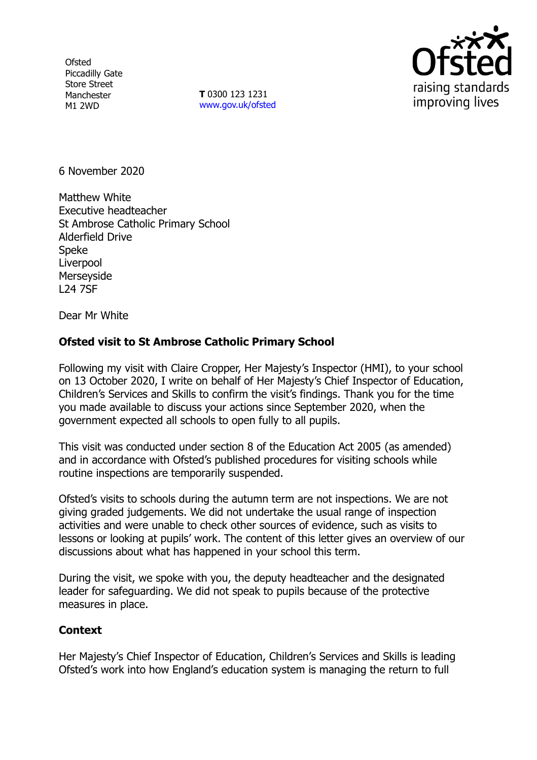**Ofsted** Piccadilly Gate Store Street Manchester M1 2WD

**T** 0300 123 1231 [www.gov.uk/ofsted](http://www.gov.uk/ofsted)



6 November 2020

Matthew White Executive headteacher St Ambrose Catholic Primary School Alderfield Drive Speke Liverpool **Merseyside** L24 7SF

Dear Mr White

## **Ofsted visit to St Ambrose Catholic Primary School**

Following my visit with Claire Cropper, Her Majesty's Inspector (HMI), to your school on 13 October 2020, I write on behalf of Her Majesty's Chief Inspector of Education, Children's Services and Skills to confirm the visit's findings. Thank you for the time you made available to discuss your actions since September 2020, when the government expected all schools to open fully to all pupils.

This visit was conducted under section 8 of the Education Act 2005 (as amended) and in accordance with Ofsted's published procedures for visiting schools while routine inspections are temporarily suspended.

Ofsted's visits to schools during the autumn term are not inspections. We are not giving graded judgements. We did not undertake the usual range of inspection activities and were unable to check other sources of evidence, such as visits to lessons or looking at pupils' work. The content of this letter gives an overview of our discussions about what has happened in your school this term.

During the visit, we spoke with you, the deputy headteacher and the designated leader for safeguarding. We did not speak to pupils because of the protective measures in place.

## **Context**

Her Majesty's Chief Inspector of Education, Children's Services and Skills is leading Ofsted's work into how England's education system is managing the return to full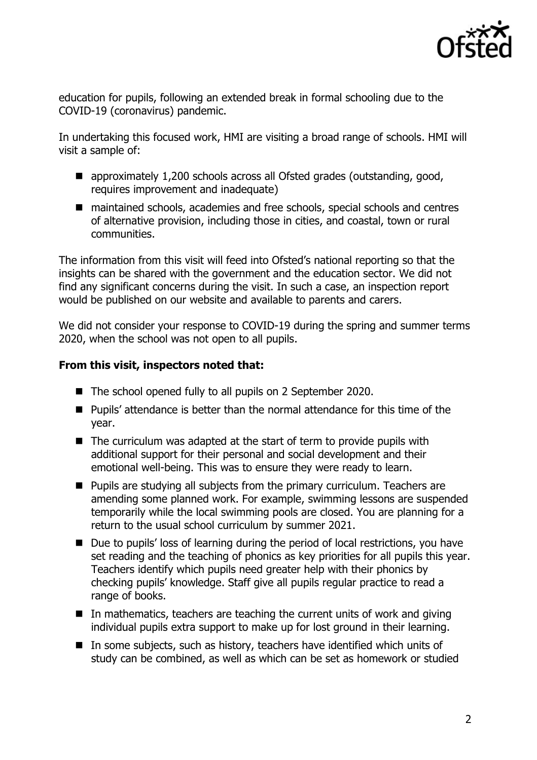

education for pupils, following an extended break in formal schooling due to the COVID-19 (coronavirus) pandemic.

In undertaking this focused work, HMI are visiting a broad range of schools. HMI will visit a sample of:

- approximately 1,200 schools across all Ofsted grades (outstanding, good, requires improvement and inadequate)
- maintained schools, academies and free schools, special schools and centres of alternative provision, including those in cities, and coastal, town or rural communities.

The information from this visit will feed into Ofsted's national reporting so that the insights can be shared with the government and the education sector. We did not find any significant concerns during the visit. In such a case, an inspection report would be published on our website and available to parents and carers.

We did not consider your response to COVID-19 during the spring and summer terms 2020, when the school was not open to all pupils.

## **From this visit, inspectors noted that:**

- The school opened fully to all pupils on 2 September 2020.
- **Pupils' attendance is better than the normal attendance for this time of the** year.
- $\blacksquare$  The curriculum was adapted at the start of term to provide pupils with additional support for their personal and social development and their emotional well-being. This was to ensure they were ready to learn.
- **Pupils are studying all subjects from the primary curriculum. Teachers are** amending some planned work. For example, swimming lessons are suspended temporarily while the local swimming pools are closed. You are planning for a return to the usual school curriculum by summer 2021.
- Due to pupils' loss of learning during the period of local restrictions, you have set reading and the teaching of phonics as key priorities for all pupils this year. Teachers identify which pupils need greater help with their phonics by checking pupils' knowledge. Staff give all pupils regular practice to read a range of books.
- In mathematics, teachers are teaching the current units of work and giving individual pupils extra support to make up for lost ground in their learning.
- In some subjects, such as history, teachers have identified which units of study can be combined, as well as which can be set as homework or studied